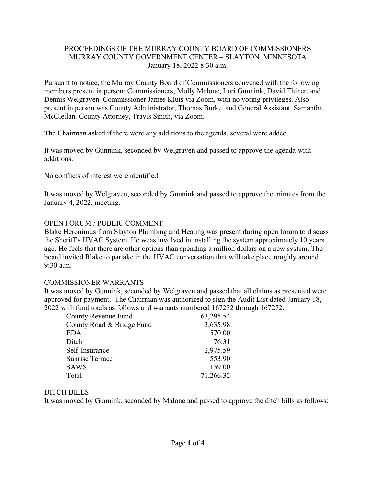### PROCEEDINGS OF THE MURRAY COUNTY BOARD OF COMMISSIONERS MURRAY COUNTY GOVERNMENT CENTER – SLAYTON, MINNESOTA January 18, 2022 8:30 a.m.

Pursuant to notice, the Murray County Board of Commissioners convened with the following members present in person: Commissioners; Molly Malone, Lori Gunnink, David Thiner, and Dennis Welgraven. Commissioner James Kluis via Zoom, with no voting privileges. Also present in person was County Administrator, Thomas Burke, and General Assistant, Samantha McClellan. County Attorney, Travis Smith, via Zoom.

The Chairman asked if there were any additions to the agenda, several were added.

It was moved by Gunnink, seconded by Welgraven and passed to approve the agenda with additions.

No conflicts of interest were identified.

It was moved by Welgraven, seconded by Gunnink and passed to approve the minutes from the January 4, 2022, meeting.

## OPEN FORUM / PUBLIC COMMENT

Blake Heronimus from Slayton Plumbing and Heating was present during open forum to discuss the Sheriff's HVAC System. He weas involved in installing the system approximately 10 years ago. He feels that there are other options than spending a million dollars on a new system. The board invited Blake to partake in the HVAC conversation that will take place roughly around 9:30 a.m.

## COMMISSIONER WARRANTS

It was moved by Gunnink, seconded by Welgraven and passed that all claims as presented were approved for payment. The Chairman was authorized to sign the Audit List dated January 18, 2022 with fund totals as follows and warrants numbered 167232 through 167272:

| County Revenue Fund       | 63,295.54 |
|---------------------------|-----------|
| County Road & Bridge Fund | 3,635.98  |
| <b>EDA</b>                | 570.00    |
| Ditch                     | 76.31     |
| Self-Insurance            | 2,975.59  |
| <b>Sunrise Terrace</b>    | 553.90    |
| <b>SAWS</b>               | 159.00    |
| Total                     | 71,266.32 |

## DITCH BILLS

It was moved by Gunnink, seconded by Malone and passed to approve the ditch bills as follows: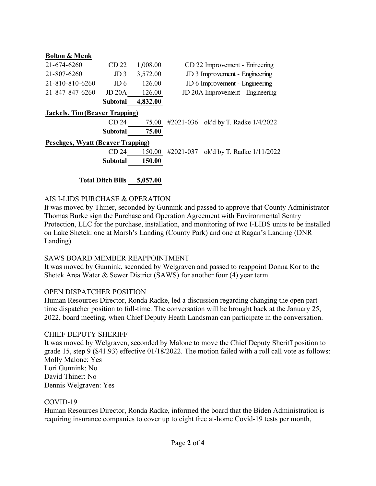| <b>Bolton &amp; Menk</b>              |                  |          |                                         |  |
|---------------------------------------|------------------|----------|-----------------------------------------|--|
| 21-674-6260                           | CD <sub>22</sub> | 1,008.00 | CD 22 Improvement - Enineering          |  |
| 21-807-6260                           | JD <sub>3</sub>  | 3,572.00 | JD 3 Improvement - Engineering          |  |
| 21-810-810-6260                       | J <sub>D</sub> 6 | 126.00   | JD 6 Improvement - Engineering          |  |
| 21-847-847-6260                       | JD 20A           | 126.00   | JD 20A Improvement - Engineering        |  |
|                                       | Subtotal         | 4,832.00 |                                         |  |
| <b>Jackels, Tim (Beaver Trapping)</b> |                  |          |                                         |  |
|                                       | CD <sub>24</sub> | 75.00    | #2021-036 ok'd by T. Radke 1/4/2022     |  |
|                                       | <b>Subtotal</b>  | 75.00    |                                         |  |
| Peschges, Wyatt (Beaver Trapping)     |                  |          |                                         |  |
|                                       | CD <sub>24</sub> | 150.00   | ok'd by T. Radke 1/11/2022<br>#2021-037 |  |
|                                       | <b>Subtotal</b>  | 150.00   |                                         |  |
|                                       |                  |          |                                         |  |

**Total Ditch Bills 5,057.00**

#### AIS I-LIDS PURCHASE & OPERATION

It was moved by Thiner, seconded by Gunnink and passed to approve that County Administrator Thomas Burke sign the Purchase and Operation Agreement with Environmental Sentry Protection, LLC for the purchase, installation, and monitoring of two I-LIDS units to be installed on Lake Shetek: one at Marsh's Landing (County Park) and one at Ragan's Landing (DNR Landing).

#### SAWS BOARD MEMBER REAPPOINTMENT

It was moved by Gunnink, seconded by Welgraven and passed to reappoint Donna Kor to the Shetek Area Water & Sewer District (SAWS) for another four (4) year term.

### OPEN DISPATCHER POSITION

Human Resources Director, Ronda Radke, led a discussion regarding changing the open parttime dispatcher position to full-time. The conversation will be brought back at the January 25, 2022, board meeting, when Chief Deputy Heath Landsman can participate in the conversation.

#### CHIEF DEPUTY SHERIFF

It was moved by Welgraven, seconded by Malone to move the Chief Deputy Sheriff position to grade 15, step 9 (\$41.93) effective 01/18/2022. The motion failed with a roll call vote as follows: Molly Malone: Yes Lori Gunnink: No David Thiner: No Dennis Welgraven: Yes

#### COVID-19

Human Resources Director, Ronda Radke, informed the board that the Biden Administration is requiring insurance companies to cover up to eight free at-home Covid-19 tests per month,